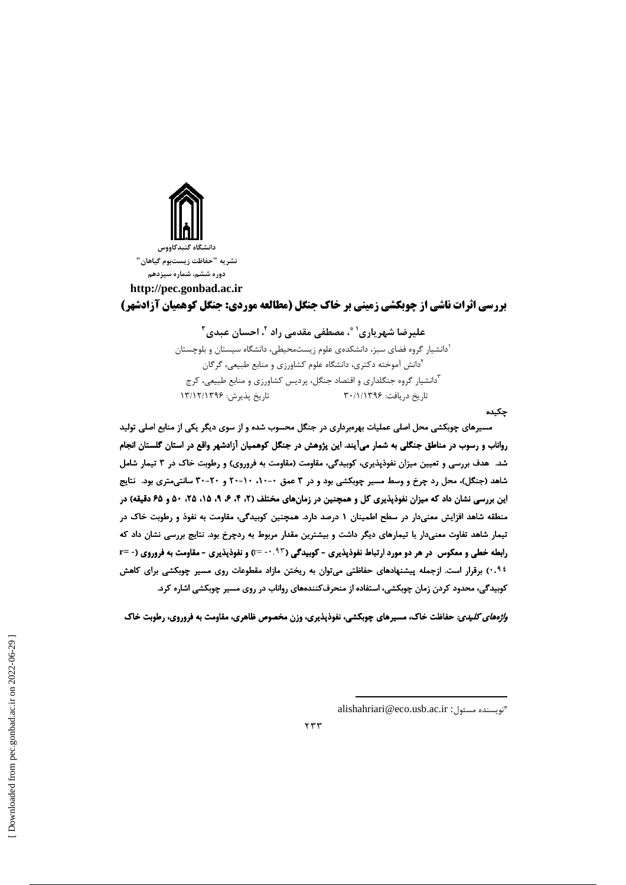

نشريه "حفاظت زيستبوم گياهان" دوره ششم، شماره سیزدهم

http://pec.gonbad.ac.ir **بررسی اثرات ناشی از چوبکشی زمینی بر خاک جنگل (مطالعه موردی: جنگل کوهمیان آزادشهر)** 

# عليرضا شهرياري' ؓ، مصطفى مقدمى راد '، احسان عبدي '' <sup>ا</sup>دانشیار گروه فضای سبز، دانشکدهی علوم زیستمحیطی، دانشگاه سیستان و بلوچستان .<br>'دانش آموخته دکتری، دانشگاه علوم کشاورزی و منابع طبیعی، گرگان <sup>۳</sup>دانشیار گروه جنگلداری و اقتصاد جنگل، پردیس کشاورزی و منابع طبیعی، کرج تاریخ دریافت: ۳۰/۱/۱۳۹۶ تاريخ پذيرش: ۱۳/۱۲/۱۳۹۶

#### چکیده

مسیرهای چوبکشی محل اصلی عملیات بهرهبرداری در جنگل محسوب شده و از سوی دیگر یکی از منابع اصلی تولید رواناب و رسوب در مناطق جنگلی به شمار میآیند. این پژوهش در جنگل کوهمیان آزادشهر واقع در استان گلستان انجام شد. هدف بررسی و تعیین میزان نفوذپذیری، کوبیدگی، مقاومت (مقاومت به فروروی) و رطوبت خاک در ۳ تیمار شامل شاهد (جنگل)، محل رد چرخ و وسط مسیر چوبکشی بود و در ۳ عمق ۰-۰۱، ۱۰-۲۰ و ۲۰-۳۰ سانتی متری بود. نتایج این بررسی نشان داد که میزان نفوذپذیری کل و همچنین در زمانهای مختلف (۲، ۴، ۶، ۹، ۱۵، ۲۵، ۵۰، ۶۵ و ۶۵ دقیقه) در منطقه شاهد افزایش معنیدار در سطح اطمینان ۱ درصد دارد. همچنین کوبیدگی، مقاومت به نفوذ و رطوبت خاک در تیمار شاهد تفاوت معنیدار با تیمارهای دیگر داشت و بیشترین مقدار مربوط به ردچرخ بود. نتایج بررسی نشان داد که رابطه خطی و معکوس در هر دو مورد ارتباط نفوذپذیری - کوبیدگی (۹۳- ۰- =r) و نفوذپذیری - مقاومت به فروروی (- =r ۰٬۹۶ برقرار است. ازجمله پیشنهادهای حفاظتی می توان به ریختن مازاد مقطوعات روی مسیر چوبکشی برای کاهش کوبیدگی، محدود کردن زمان چوبکشی، استفاده از منحرفکنندههای رواناب در روی مسیر چوبکشی اشاره کرد.

*واژههای کلیدی:* حفاظت خاک، مسیرهای چوبکشی، نفوذپذیری، وزن مخصوص ظاهری، مقاومت به فروروی، رطوبت خاک

 $\gamma \gamma \gamma$ 

alishahriari@eco.usb.ac.ir : تويسنده مسئول: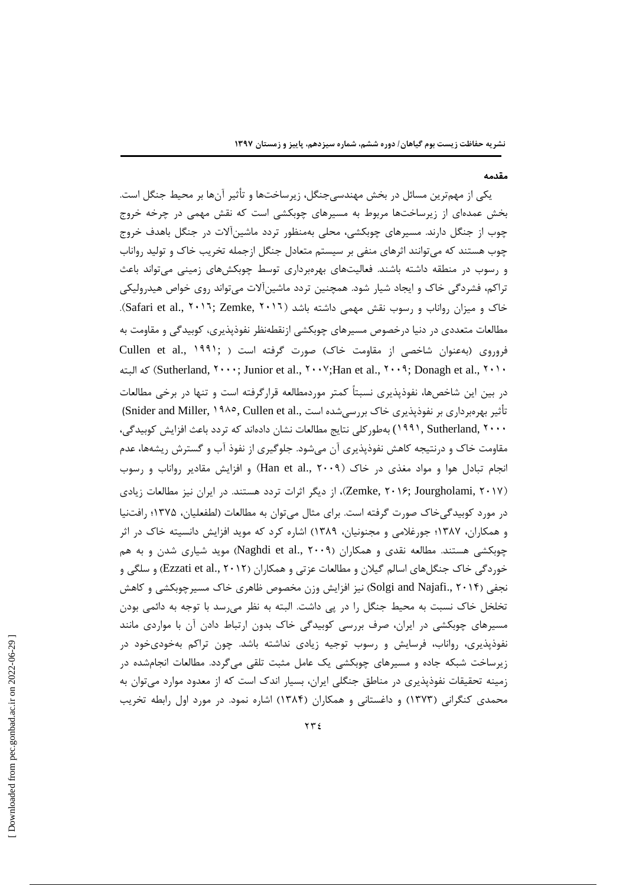#### مقدمه

یکی از مهمترین مسائل در بخش مهندسیجنگل، زیرساختها و تأثیر آنها بر محیط جنگل است. بخش عمدهای از زیرساختها مربوط به مسیرهای چوبکشی است که نقش مهمی در چرخه خروج چوب از جنگل دارند. مسیرهای چوبکشی، محلی بهمنظور تردد ماشینآلات در جنگل باهدف خروج چوب هستند که میتوانند اثرهای منفی بر سیستم متعادل جنگل ازجمله تخریب خاک و تولید رواناب و رسوب در منطقه داشته باشند. فعالیتهای بهرهبرداری توسط چوبکشهای زمینی میتواند باعث تراکم، فشردگی خاک و ایجاد شیار شود. همچنین تردد ماشینآلات میتواند روی خواص هیدرولیکی خاک و میزان رواناب و رسوب نقش مهمی داشته باشد (Safari et al., ۲۰۱٦; Zemke, ۲۰۱٦). مطالعات متعددی در دنیا درخصوص مسیرهای چوبکشی ازنقطهنظر نفوذپذیری، کوبیدگی و مقاومت به فروروی (به عنوان شاخصی از مقاومت خاک) صورت گرفته است ( Cullen et al., ١٩٩١; Sutherland, ۲۰۰۰; Junior et al., ۲۰۰۷; Han et al., ۲۰۰۹; Donagh et al., ۲۰۱۰). (Sutherland, ۲۰۰۰; D در بین این شاخصها، نفوذپذیری نسبتاً کمتر موردمطالعه قرارگرفته است و تنها در برخی مطالعات تأثیر بھرەبرداری بر نفوذیذیری خاک بررسی شدہ است ,.Snider and Miller, ۱۹۸۰, Cullen et al ۱۹۹۱, Sutherland, ۲۰۰۰) بهطور كلي نتايج مطالعات نشان دادهاند كه تردد باعث افزايش كوبيدگي، مقاومت خاک و درنتیجه کاهش نفوذپذیری آن میشود. جلوگیری از نفوذ آب و گسترش ریشهها، عدم انجام تبادل هوا و مواد مغذی در خاک (Han et al., ۲۰۰۹) و افزایش مقادیر رواناب و رسوب (Zemke, ۲۰۱۶; Jourgholami, ۲۰۱۷)، از دیگر اثرات تردد هستند. در ایران نیز مطالعات زیادی در مورد کوبیدگی خاک صورت گرفته است. برای مثال می¤وان به مطالعات (لطفعلیان، ۱۳۷۵؛ رافتنیا و همکاران، ۱۳۸۷؛ جورغلامی و مجنونیان، ۱۳۸۹) اشاره کرد که موید افزایش دانسیته خاک در اثر چوبکشی هستند. مطالعه نقدی و همکاران (Naghdi et al., ۲۰۰۹) موید شیاری شدن و به هم خوردگی خاک جنگل های اسالم گیلان و مطالعات عزتی و همکاران (Ezzati et al., ۲۰۱۲) و سلگی و نجفی (Solgi and Najafi., ۲۰۱۴) نیز افزایش وزن مخصوص ظاهری خاک مسیرچوبکشی و کاهش تخلخل خاک نسبت به محیط جنگل را در پی داشت. البته به نظر می رسد با توجه به دائمی بودن مسیرهای چوبکشی در ایران، صرف بررسی کوبیدگی خاک بدون ارتباط دادن آن با مواردی مانند نفوذپذیری، رواناب، فرسایش و رسوب توجیه زیادی نداشته باشد. چون تراکم بهخودیخود در زیرساخت شبکه جاده و مسیرهای چوبکشی یک عامل مثبت تلقی می گردد. مطالعات انجامشده در زمینه تحقیقات نفوذپذیری در مناطق جنگلی ایران، بسیار اندک است که از معدود موارد میتوان به محمدی کنگرانی (۱۳۷۳) و داغستانی و همکاران (۱۳۸۴) اشاره نمود. در مورد اول رابطه تخریب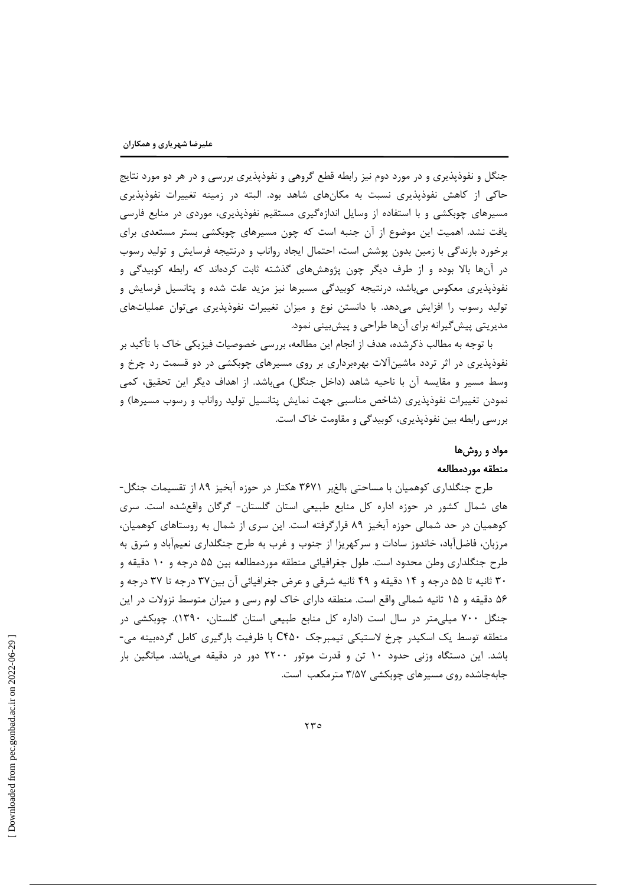جنگل و نفوذیذیری و در مورد دوم نیز رابطه قطع گروهی و نفوذیذیری بررسی و در هر دو مورد نتایج حاکی از کاهش نفوذپذیری نسبت به مکانهای شاهد بود. البته در زمینه تغییرات نفوذپذیری مسیرهای چوبکشی و با استفاده از وسایل اندازهگیری مستقیم نفوذیذیری، موردی در منابع فارسی یافت نشد. اهمیت این موضوع از آن جنبه است که چون مسیرهای چوبکشی بستر مستعدی برای برخورد بارندگی با زمین بدون پوشش است، احتمال ایجاد رواناب و درنتیجه فرسایش و تولید رسوب در آنها بالا بوده و از طرف دیگر چون پژوهشهای گذشته ثابت کردهاند که رابطه کوبیدگی و نفوذپذیری معکوس میباشد، درنتیجه کوبیدگی مسیرها نیز مزید علت شده و پتانسیل فرسایش و تولید رسوب را افزایش میدهد. با دانستن نوع و میزان تغییرات نفوذپذیری میتوان عملیاتهای مدیریتی پیش گیرانه برای آنها طراحی و پیشبینی نمود.

با توجه به مطالب ذکرشده، هدف از انجام این مطالعه، بررسی خصوصیات فیزیکی خاک با تأکید بر نفوذیذیری در اثر تردد ماشینآلات بهرهبرداری بر روی مسیرهای چوبکشی در دو قسمت رد چرخ و وسط مسير و مقايسه آن با ناحيه شاهد (داخل جنگل) مي باشد. از اهداف ديگر اين تحقيق، كمي نمودن تغییرات نفوذپذیری (شاخص مناسبی جهت نمایش پتانسیل تولید رواناب و رسوب مسیرها) و بررسی رابطه بین نفوذیذیری، کوبیدگی و مقاومت خاک است.

# مواد و روشها منطقه موردمطالعه

طرح جنگلداری کوهمیان با مساحتی بالغبر ۳۶۷۱ هکتار در حوزه آبخیز ۸۹ از تقسیمات جنگل-های شمال کشور در حوزه اداره کل منابع طبیعی استان گلستان- گرگان واقعشده است. سری کوهمیان در حد شمالی حوزه آبخیز ۸۹ قرارگرفته است. این سری از شمال به روستاهای کوهمیان، مرزبان، فاضل|باد، خاندوز سادات و سرکهریزا از جنوب و غرب به طرح جنگلداری نعیم|باد و شرق به طرح جنگلداری وطن محدود است. طول جغرافیائی منطقه موردمطالعه بین ۵۵ درجه و ۱۰ دقیقه و ۳۰ ثانیه تا ۵۵ درجه و ۱۴ دقیقه و ۴۹ ثانیه شرقی و عرض جغرافیائی آن بین۳۷ درجه تا ۳۷ درجه و ۵۶ دقیقه و ۱۵ ثانیه شمالی واقع است. منطقه دارای خاک لوم رسی و میزان متوسط نزولات در این جنگل ۷۰۰ میلی متر در سال است (اداره کل منابع طبیعی استان گلستان، ۱۳۹۰). چوبکشی در منطقه توسط یک اسکیدر چرخ لاستیکی تیمبرجک C۴۵۰ با ظرفیت بارگیری کامل گردهبینه می-باشد. این دستگاه وزنی حدود ۱۰ تن و قدرت موتور ۲۲۰۰ دور در دقیقه میباشد. میانگین بار جابهجاشده روی مسیرهای چوبکشی ۳/۵۷ مترمکعب است.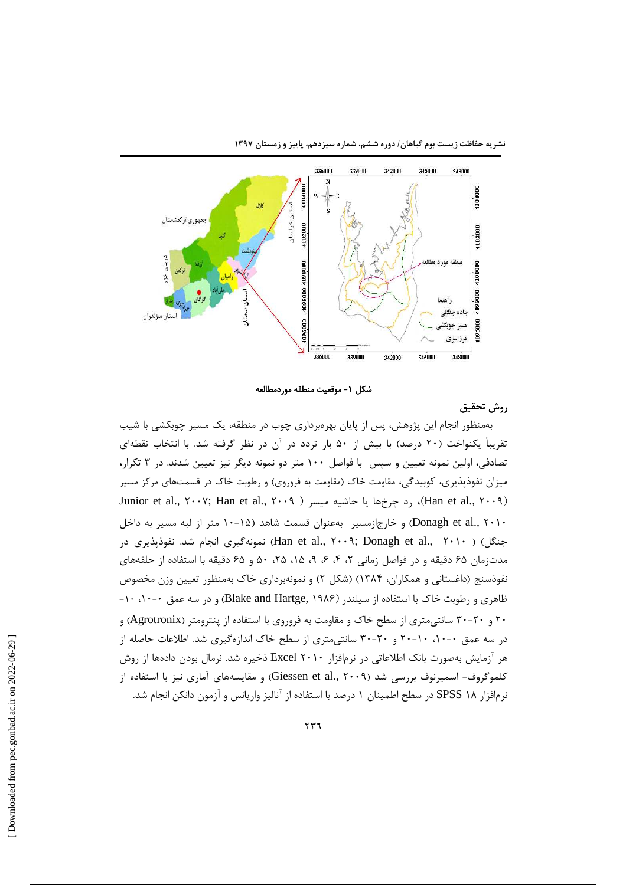



شكل ١- موقعيت منطقه موردمطالعه

# روش تحقيق

بهمنظور انجام این پژوهش، پس از پایان بهرمبرداری چوب در منطقه، یک مسیر چوبکشی با شیب تقریباً یکنواخت (۲۰ درصد) با بیش از ۵۰ بار تردد در آن در نظر گرفته شد. با انتخاب نقطهای تصادفی، اولین نمونه تعیین و سپس با فواصل ۱۰۰ متر دو نمونه دیگر نیز تعیین شدند. در ۳ تکرار، میزان نفوذپذیری، کوبیدگی، مقاومت خاک (مقاومت به فروروی) و رطوبت خاک در قسمتهای مرکز مسیر Junior et al., ۲۰۰۷; Han et al., ۲۰۰۹ )، رد چرخها یا حاشیه میسر ( Han et al., ۲۰۰۷; Han et al., ۲۰۰۹ Donagh et al., ۲۰۱۰) و خارج|زمسیر بهعنوان قسمت شاهد (۱۵-۱۰ متر از لبه مسیر به داخل جنگل) ( Han et al., ۲۰۰۹; Donagh et al., ۲۰۱۰) نمونهگیری انجام شد. نفوذپذیری در مدتزمان ۶۵ دقیقه و در فواصل زمانی ۲، ۴، ۶، ۴، ۱۵، ۲۵، ۴۵ و ۶۵ دقیقه با استفاده از حلقههای نفوذسنج (داغستانی و همکاران، ۱۳۸۴) (شکل ۲) و نمونهبرداری خاک بهمنظور تعیین وزن مخصوص ظاهری و رطوبت خاک با استفاده از سیلندر (Blake and Hartge, ۱۹۸۶) و در سه عمق ۰-۱۰، ۱۰-۲۰ و ۲۰-۳۰ سانتی متری از سطح خاک و مقاومت به فروروی با استفاده از پنترومتر (Agrotronix) و در سه عمق ۰-۱۰، ۱۰-۲۰ و ۲۰-۳۰ سانتے متری از سطح خاک اندازهگیری شد. اطلاعات حاصله از هر آزمایش بهصورت بانک اطلاعاتی در نرمافزار ۲۰۱۰ Excel ذخیره شد. نرمال بودن دادهها از روش کلموگروف- اسمپرنوف بررسی شد (Giessen et al., ۲۰۰۹) و مقایسههای آماری نیز با استفاده از نرمافزار ۱۸ SPSS در سطح اطمینان ۱ درصد با استفاده از آنالیز واریانس و آزمون دانکن انجام شد.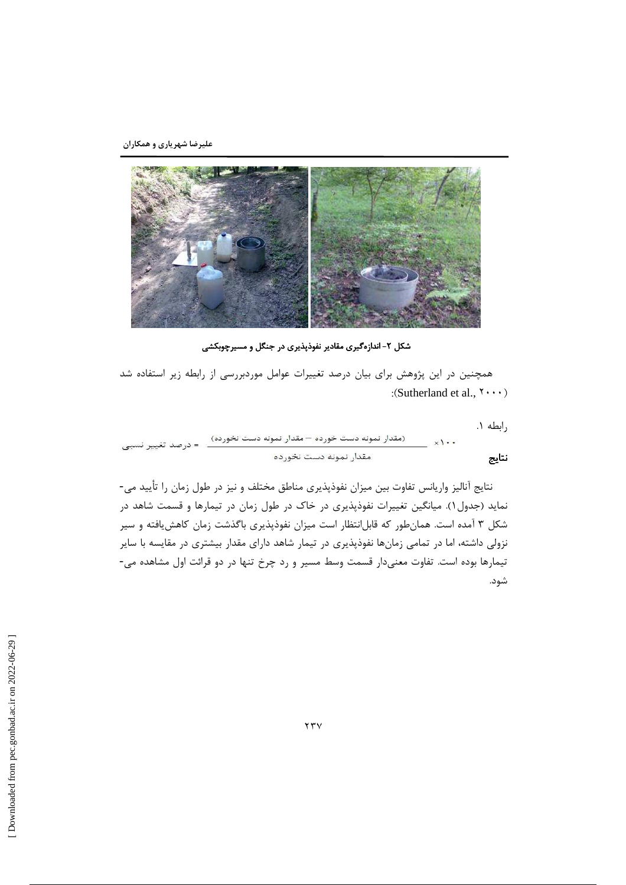

شکل ۲- اندازهگیری مقادیر نفوذپذیری در جنگل و مسیرچوبکشی

همچنین در این پژوهش برای بیان درصد تغییرات عوامل موردبررسی از رابطه زیر استفاده شد : (Sutherland et al.,  $\mathbf{y} \cdot \mathbf{y}$ )

رابطه ۰۱.

^-

نتايج آناليز واريانس تفاوت بين ميزان نفوذپذيري مناطق مختلف و نيز در طول زمان را تأييد مي-نماید (جدول۱). میانگین تغییرات نفوذپذیری در خاک در طول زمان در تیمارها و قسمت شاهد در شکل ۳ آمده است. همانطور که قابلانتظار است میزان نفوذپذیری باگذشت زمان کاهش یافته و سیر نزولی داشته، اما در تمامی زمانها نفوذپذیری در تیمار شاهد دارای مقدار بیشتری در مقایسه با سایر تیمارها بوده است. تفاوت معنیدار قسمت وسط مسیر و رد چرخ تنها در دو قرائت اول مشاهده می-شود.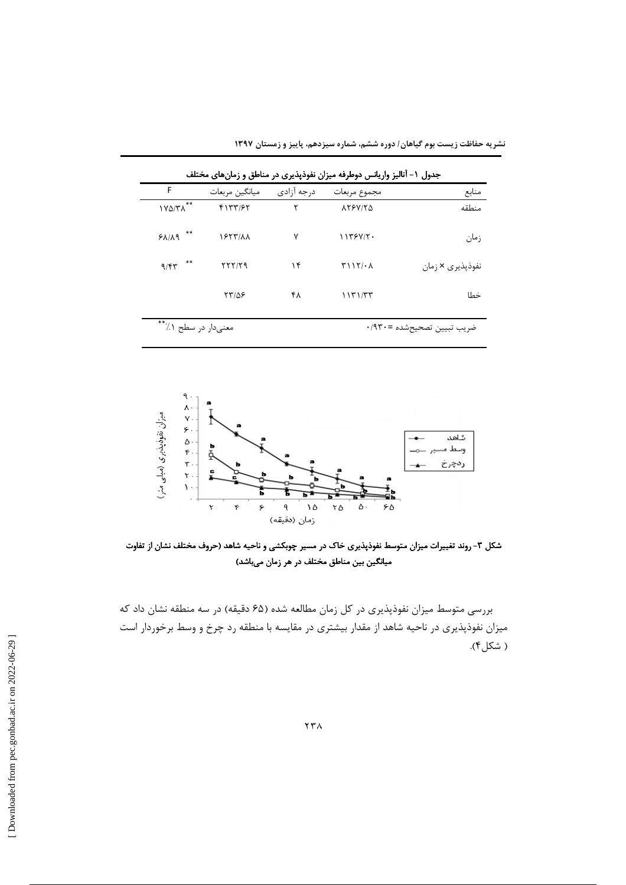|  |  |  |  | نشریه حفاظت زیست بوم گیاهان/ دوره ششم، شماره سیزدهم، پاییز و زمستان ۱۳۹۷ |  |
|--|--|--|--|--------------------------------------------------------------------------|--|
|  |  |  |  |                                                                          |  |

| جدول ۱- آنالیز واریانس دوطرفه میزان نفوذپذیری در مناطق و زمانهای مختلف |                       |             |                            |                  |  |  |
|------------------------------------------------------------------------|-----------------------|-------------|----------------------------|------------------|--|--|
| F                                                                      | ميانگين مربعات        | د, جه آزادی | مجموع مربعات               | منابع            |  |  |
| **<br>$V\Delta/T\Lambda$                                               | 5177/57               | ٢           | <b>AYSVIYA</b>             | منطقه            |  |  |
| $***$<br>$P$ $\Lambda$ / $\Lambda$ 9                                   | <b><i>ISTTIAA</i></b> | ٧           | 1159V/T                    | زمان             |  |  |
| **<br>9/57                                                             | YYY/YQ                | ۱۴          | T117/2A                    | نفوذپذیری × زمان |  |  |
|                                                                        | 77108                 | ۴۸          | 1151/TT                    | خطا              |  |  |
| معنىدار در سطح ۱٪**                                                    |                       |             | ضريب تبيين تصحيحشده =٠/٩٣٠ |                  |  |  |





شکل ۳- روند تغییرات میزان متوسط نفوذپذیری خاک در مسیر چوبکشی و ناحیه شاهد (حروف مختلف نشان از تفاوت میانگین بین مناطق مختلف در هر زمان میباشد)

بررسی متوسط میزان نفوذپذیری در کل زمان مطالعه شده (۶۵ دقیقه) در سه منطقه نشان داد که میزان نفوذپذیری در ناحیه شاهد از مقدار بیشتری در مقایسه با منطقه رد چرخ و وسط برخوردار است ( شکل۴).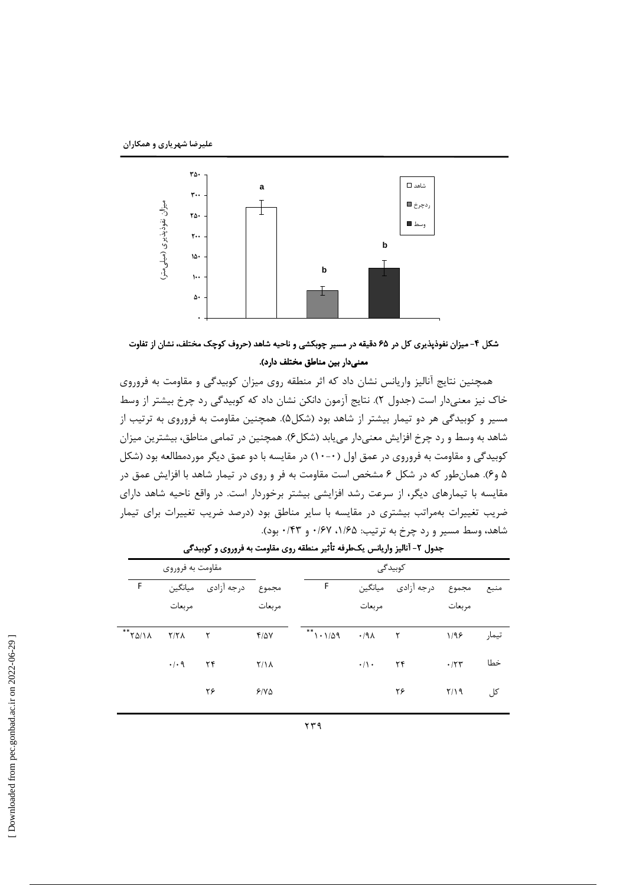

شکل ۴- میزان نفوذپذیری کل در ۶۵ دقیقه در مسیر چوبکشی و ناحیه شاهد (حروف کوچک مختلف، نشان از تفاوت معنىدار بين مناطق مختلف دارد).

همچنین نتایج آنالیز واریانس نشان داد که اثر منطقه روی میزان کوبیدگی و مقاومت به فروروی خاک نیز معنیدار است (جدول ۲). نتایج آزمون دانکن نشان داد که کوبیدگی رد چرخ بیشتر از وسط مسیر و کوبیدگی هر دو تیمار بیشتر از شاهد بود (شکل۵). همچنین مقاومت به فروروی به ترتیب از شاهد به وسط و رد چرخ افزایش معنیدار می یابد (شکل۶). همچنین در تمامی مناطق، بیشترین میزان کوبیدگی و مقاومت به فروروی در عمق اول (۰--۱۰) در مقایسه با دو عمق دیگر موردمطالعه بود (شکل ۵ و۶). همانطور که در شکل ۶ مشخص است مقاومت به فر و روی در تیمار شاهد با افزایش عمق در مقایسه با تیمارهای دیگر، از سرعت رشد افزایشی بیشتر برخوردار است. در واقع ناحیه شاهد دارای ضریب تغییرات بهمراتب بیشتری در مقایسه با سایر مناطق بود (درصد ضریب تغییرات برای تیمار شاهد، وسط مسیر و رد چرخ به ترتیب: ۱/۶۵، ۰/۶۷ و ۰/۴۳ بود).

|                                | مقاومت به فروروی    |              |              |            |                    | كوبيدگى    |        |       |
|--------------------------------|---------------------|--------------|--------------|------------|--------------------|------------|--------|-------|
| F                              | ميانگين             | درجه آزادى   | مجموع        | F          | ميانگين            | درجه آزادى | مجموع  | منبع  |
|                                | مربعات              |              | مربعات       |            | مربعات             |            | مربعات |       |
| $**$ $\gamma \Delta / \lambda$ | Y/Y                 | $\mathsf{r}$ | $Y/\Delta V$ | $*$ 1.1/09 | $\cdot$ /91 $\tau$ |            | 1/99   | تيمار |
|                                | $\cdot$ / $\cdot$ 9 | ۲۴           | $Y/\lambda$  |            | $\cdot/\rangle$ .  | ۲۴         | .777   | خطا   |
|                                |                     | ۲۶           | 5/10         |            |                    | ۲۶         | Y/Y    | کل    |

جدول ۲- آنالیز واریانس یکطرفه تأثیر منطقه روی مقاومت به فروروی و کوبیدگی

 $\gamma \gamma$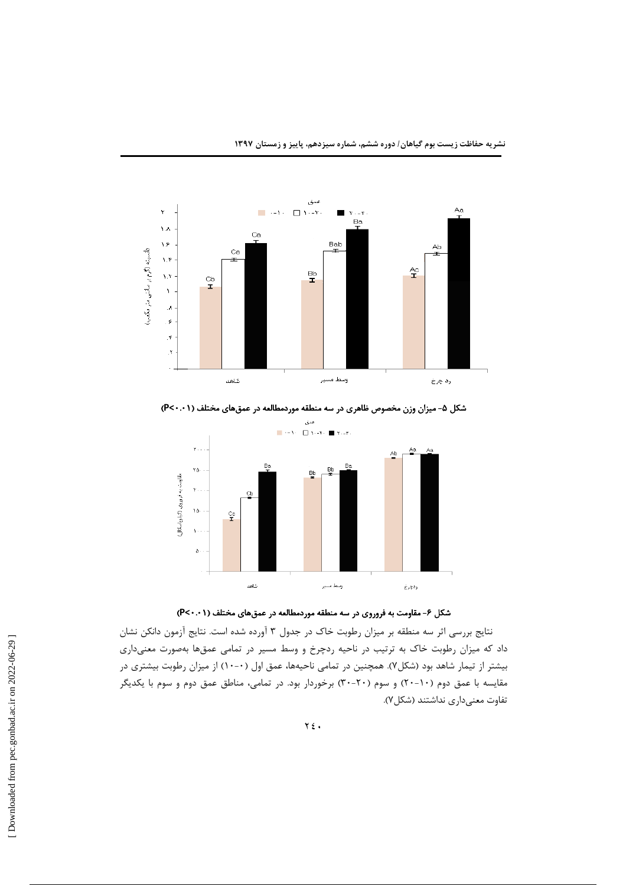



شکل ۵- میزان وزن مخصوص ظاهری در سه منطقه موردمطالعه در عمقهای مختلف (P<۰.۰۱)





نتايج بررسي اثر سه منطقه بر ميزان رطوبت خاک در جدول ۳ آورده شده است. نتايج آزمون دانکن نشان داد که میزان رطوبت خاک به ترتیب در ناحیه ردچرخ و وسط مسیر در تمامی عمقها بهصورت معنیداری بیشتر از تیمار شاهد بود (شکل۷). همچنین در تمامی ناحیهها، عمق اول (۰-۱۰) از میزان رطوبت بیشتری در مقایسه با عمق دوم (۱۰-۲۰) و سوم (۲۰-۳۰) برخوردار بود. در تمامی، مناطق عمق دوم و سوم با یکدیگر تفاوت معنىدارى نداشتند (شكل٧).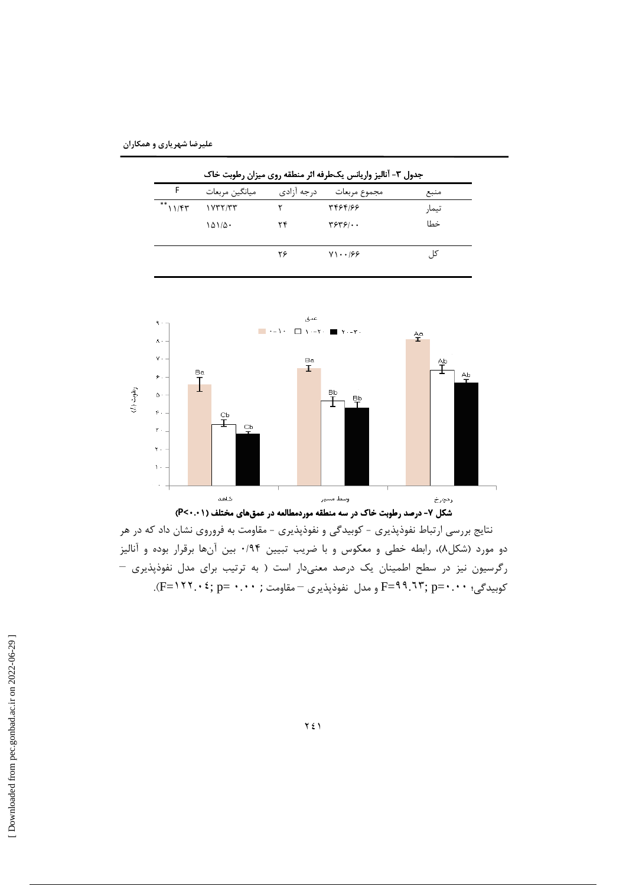| علیرضا شهریاری و همکاران |  |
|--------------------------|--|
|--------------------------|--|

| جدول ۳- آنالیز واریانس یکطرفه اثر منطقه روی میزان رطوبت خاک |                |             |                                  |       |  |  |  |
|-------------------------------------------------------------|----------------|-------------|----------------------------------|-------|--|--|--|
| F                                                           | ميانگين مربعات | د, جه آزادی | مجموع مربعات                     | منبع  |  |  |  |
| $**$ $11/FY$                                                |                |             | 331994                           | تيمار |  |  |  |
|                                                             | ۱۵۱/۵۰         | ۲۴          | $\mathbf{y}\mathbf{y}\mathbf{y}$ | خطا   |  |  |  |
|                                                             |                | ۲۶          | $Y1 \cdot .199$                  | کا ،  |  |  |  |



نتایج بررسی ارتباط نفوذپذیری - کوبیدگی و نفوذپذیری - مقاومت به فروروی نشان داد که در هر دو مورد (شکل۸)، رابطه خطی و معکوس و با ضریب تبیین ۰/۹۴ بین آنها برقرار بوده و آنالیز رگرسیون نیز در سطح اطمینان یک درصد معنیدار است ( به ترتیب برای مدل نفوذپذیری -کوبیدگی؛ ۰۰. • F=۹۹.٦۳; p=۰.۰۰ و مدل نفوذپذیری – مقاومت ; ۰۰۰۰ =F=۱۲۲.۰۲).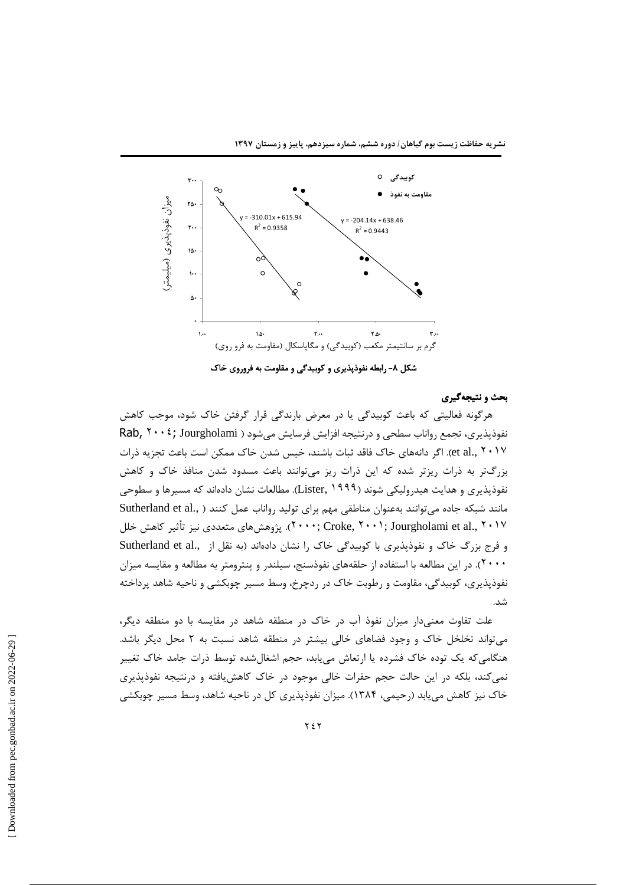

شکل ۸- رابطه نفوذپذیری و کوبیدگی و مقاومت به فروروی خاک

### بحث و نتيجهگيري

هرگونه فعالیتی که باعث کوبیدگی یا در معرض بارندگی قرار گرفتن خاک شود، موجب کاهش نفوذپذیری، تجمع رواناب سطحی و درنتیجه افزایش فرسایش میشود ( Rab, ۲۰۰ \$; Jourgholami et al., ۲۰۱۷). اگر دانههای خاک فاقد ثبات باشند، خیس شدن خاک ممکن است باعث تجزیه ذرات بزرگتر به ذرات ریزتر شده که این ذرات ریز میتوانند باعث مسدود شدن منافذ خاک و کاهش نفوذپذیری و هدایت هیدرولیکی شوند (Lister, ۱۹۹۹). مطالعات نشان دادهاند که مسیرها و سطوحی مانند شبکه جاده میتوانند بهعنوان مناطقی مهم برای تولید رواناب عمل کنند ( "Sutherland et al ۲۰۰۷; Jourgholami et al., ۲۰۱۷). پژوهشهای متعددی نیز تأثیر کاهش خلل و فرج بزرگ خاک و نفوذپذیری با کوبیدگی خاک را نشان دادهاند (به نقل از "Sutherland et al ۲۰۰۰). در این مطالعه با استفاده از حلقههای نفوذسنج، سیلندر و پنترومتر به مطالعه و مقایسه میزان نفوذپذیری، کوبیدگی، مقاومت و رطوبت خاک در ردچرخ، وسط مسیر چوبکشی و ناحیه شاهد پرداخته شد. - (ميليمتر (نفوذپذيري ميزان

علت تفاوت معنىدار ميزان نفوذ آب در خاک در منطقه شاهد در مقايسه با دو منطقه ديگر، میتواند تخلخل خاک و وجود فضاهای خالی بیشتر در منطقه شاهد نسبت به ۲ محل دیگر باشد. هنگامیکه یک توده خاک فشرده یا ارتعاش مییابد، حجم اشغالشده توسط ذرات جامد خاک تغییر نمیکند، بلکه در این حالت حجم حفرات خالی موجود در خاک کاهش یافته و درنتیجه نفوذپذیری اک نیز کاهش می یابد (رحیمی، ۱۳۸۴). میزان نفوذپذیری کل در ناحیه شاهد، وسط مسیر چوبکشی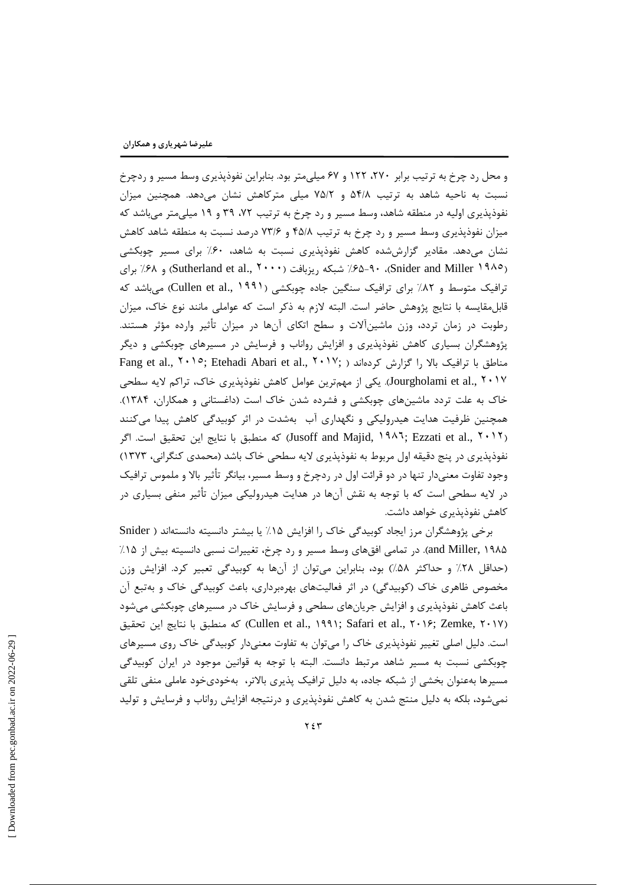و محل رد چرخ به ترتیب برابر ۲۷۰، ۱۲۲ و ۶۷ میلی متر بود. بنابراین نفوذیذیری وسط مسیر و ردچرخ نسبت به ناحیه شاهد به ترتیب ۵۴/۸ و ۷۵/۲ میلی مترکاهش نشان میدهد. همچنین میزان نفوذيذيري اوليه در منطقه شاهد، وسط مسير و رد چرخ به ترتيب ٧٢، ٣٩ و ١٩ ميلي متر مي باشد كه میزان نفوذیذیری وسط مسیر و رد چرخ به ترتیب ۴۵/۸ و ۷۳/۶ درصد نسبت به منطقه شاهد کاهش نشان میدهد. مقادیر گزارششده کاهش نفوذپذیری نسبت به شاهد، ۶۰٪ برای مسیر چوبکشی Sutherland et al., ۲۰۰۰) شبکه ریزبافت (۲۰۰۰) Sutherland et al., ۲۰۰۰). برای ترافیک متوسط و ۸۲٪ برای ترافیک سنگین جاده چوبکشی (Cullen et al., ۱۹۹۱) میباشد که قابل مقایسه با نتایج پژوهش حاضر است. البته لازم به ذکر است که عواملی مانند نوع خاک، میزان رطوبت در زمان تردد، وزن ماشینآلات و سطح اتکای آنها در میزان تأثیر وارده مؤثر هستند. پژوهشگران بسیاری کاهش نفوذپذیری و افزایش رواناب و فرسایش در مسیرهای چوبکشی و دیگر Fang et al., ٢٠١٥; Etehadi Abari et al., ٢٠١٧; ) مناطق با ترافيک بالا را گزارش كردهاند ( Jourgholami et al., ۲۰۱۷). یکی از مهمترین عوامل کاهش نفوذپذیری خاک، تراکم لایه سطحی خاک به علت تردد ماشینهای چوبکشی و فشرده شدن خاک است (داغستانی و همکاران، ۱۳۸۴). همچنین ظرفیت هدایت هیدرولیکی و نگهداری آب بهشدت در اثر کوبیدگی کاهش پیدا میکنند (Jusoff and Majid, ١٩٨٦; Ezzati et al., ٢٠١٢) كه منطبق با نتايج اين تحقيق است. اگر نفوذپذیری در پنج دقیقه اول مربوط به نفوذپذیری لایه سطحی خاک باشد (محمدی کنگرانی، ۱۳۷۳) وجود تفاوت معنیدار تنها در دو قرائت اول در ردچرخ و وسط مسیر، بیانگر تأثیر بالا و ملموس ترافیک در لایه سطحی است که با توجه به نقش آنها در هدایت هیدرولیکی میزان تأثیر منفی بسیاری در کاهش نفوذیذیری خواهد داشت.

برخی پژوهشگران مرز ایجاد کوبیدگی خاک را افزایش ۱۵٪ یا بیشتر دانسیته دانستهاند ( Snider and Miller, ۱۹۸۵). در تمامی افقهای وسط مسیر و رد چرخ، تغییرات نسبی دانسیته بیش از ۱۵٪ (حداقل ۲۸٪ و حداکثر ۵۸٪) بود، بنابراین می توان از آنها به کوبیدگی تعبیر کرد. افزایش وزن مخصوص ظاهری خاک (کوبیدگی) در اثر فعالیتهای بهرهبرداری، باعث کوبیدگی خاک و بهتبع آن باعث کاهش نفوذپذیری و افزایش جریانهای سطحی و فرسایش خاک در مسیرهای چوبکشی میشود Cullen et al., ۱۹۹۱; Safari et al., ۲۰۱۶; Zemke, ۲۰۱۷)) كه منطبق با نتايج اين تحقيق است. دلیل اصلی تغییر نفوذپذیری خاک را میتوان به تفاوت معنیدار کوبیدگی خاک روی مسیرهای چوبکشی نسبت به مسیر شاهد مرتبط دانست. البته با توجه به قوانین موجود در ایران کوبیدگی مسیرها بهعنوان بخشی از شبکه جاده، به دلیل ترافیک پذیری بالاتر، بهخودیخود عاملی منفی تلقی نمی شود، بلکه به دلیل منتج شدن به کاهش نفوذیذیری و درنتیجه افزایش رواناب و فرسایش و تولید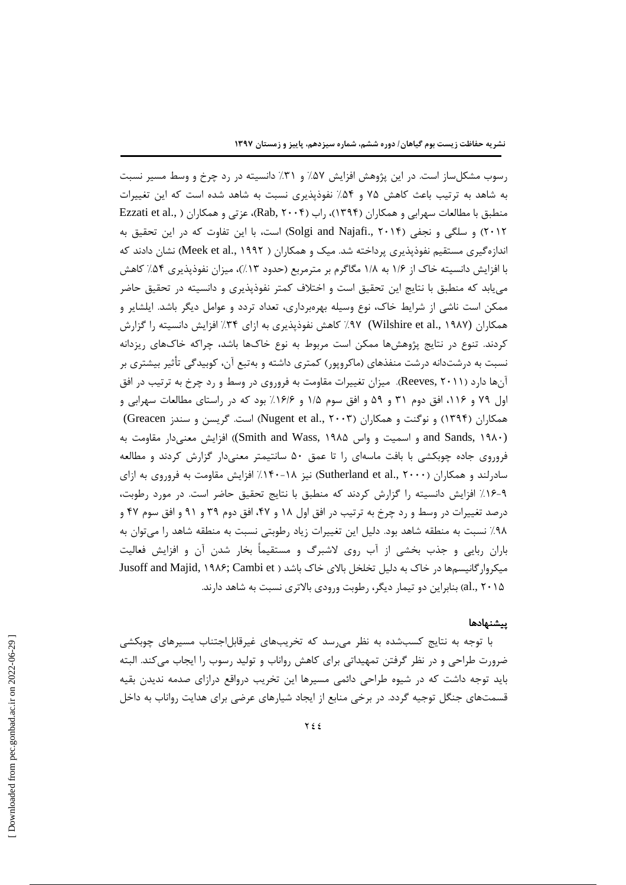رسوب مشکلساز است. در این پژوهش افزایش ۵۷٪ و ۳۱٪ دانسیته در رد چرخ و وسط مسیر نسبت به شاهد به ترتیب باعث کاهش ۷۵ و ۵۴٪ نفوذپذیری نسبت به شاهد شده است که این تغییرات منطبق با مطالعات سهرابی و همکاران (۱۳۹۴)، راب (۱۳۹۴)، متر تی و همکاران ( ,Ezzati et al ۲۰۱۲) و سلگی و نجفی (Solgi and Najafi., ۲۰۱۴) است، با این تفاوت که در این تحقیق به اندازهگیری مستقیم نفوذپذیری پرداخته شد. میک و همکاران ( Meek et al., ۱۹۹۲) نشان دادند که با افزایش دانسیته خاک از ۱/۶ به ۱/۸ مگاگرم بر مترمربع (حدود ۱۳٪)، میزان نفوذپذیری ۵۴٪ کاهش می یابد که منطبق با نتایج این تحقیق است و اختلاف کمتر نفوذپذیری و دانسیته در تحقیق حاضر ممکن است ناشی از شرایط خاک، نوع وسیله بهرمبرداری، تعداد تردد و عوامل دیگر باشد. ایلشایر و همکاران (Wilshire et al., ۱۹۸۷) ۹۷٪ کاهش نفوذپذیری به ازای ۳۴٪ افزایش دانسیته را گزارش کردند. تنوع در نتایج پژوهشها ممکن است مربوط به نوع خاکها باشد، چراکه خاکهای ریزدانه نسبت به درشتدانه درشت منفذهای (ماکروپور) کمتری داشته و بهتبع آن، کوبیدگی تأثیر بیشتری بر آنها دارد (Reeves, ۲۰۱۱). میزان تغییرات مقاومت به فروروی در وسط و رد چرخ به ترتیب در افق اول ۷۹ و ۱۱۶، افق دوم ۳۱ و ۵۹ و افق سوم ۱/۵ و ۱۶/۶٪ بود که در راستای مطالعات سهرابی و همکاران (۱۳۹۴) و نوگنت و همکاران (Nugent et al., ۲۰۰۳) است. گریسن و سندز Greacen) and Sands, ۱۹۸۰) و اسمیت و واس Smith and Wass, ۱۹۸۵) افزایش معنی دار مقاومت به فروروی جاده چوبکشی با بافت ماسهای را تا عمق ۵۰ سانتیمتر معنیدار گزارش کردند و مطالعه سادرلند و همکاران (Sutherland et al., ۲۰۰۰) نیز ۱۸-۱۴۰٪ افزایش مقاومت به فروروی به ازای ٩-١۶٪ افزايش دانسيته را گزارش كردند كه منطبق با نتايج تحقيق حاضر است. در مورد رطوبت، درصد تغییرات در وسط و رد چرخ به ترتیب در افق اول ۱۸ و ۴۷، افق دوم ۳۹ و ۹۱ و افق سوم ۴۷ و ۹۸٪ نسبت به منطقه شاهد بود. دلیل این تغییرات زیاد رطوبتی نسبت به منطقه شاهد را میتوان به باران ربایی و جذب بخشی از آب روی لاشبرگ و مستقیماً بخار شدن آن و افزایش فعالیت میکروار گانیسمها در خاک به دلیل تخلخل بالای خاک باشد ( Jusoff and Majid, ۱۹۸۶; Cambi et al., ۲۰۱۵) بنابراین دو تیمار دیگر، رطوبت ورودی بالاتری نسبت به شاهد دارند.

#### ييشنهادها

با توجه به نتایج کسبشده به نظر میرسد که تخریبهای غیرقابلاجتناب مسیرهای چوبکشی ضرورت طراحی و در نظر گرفتن تمهیداتی برای کاهش رواناب و تولید رسوب را ایجاب میکند. البته باید توجه داشت که در شیوه طراحی دائمی مسیرها این تخریب درواقع درازای صدمه ندیدن بقیه قسمتهای جنگل توجیه گردد. در برخی منابع از ایجاد شیارهای عرضی برای هدایت رواناب به داخل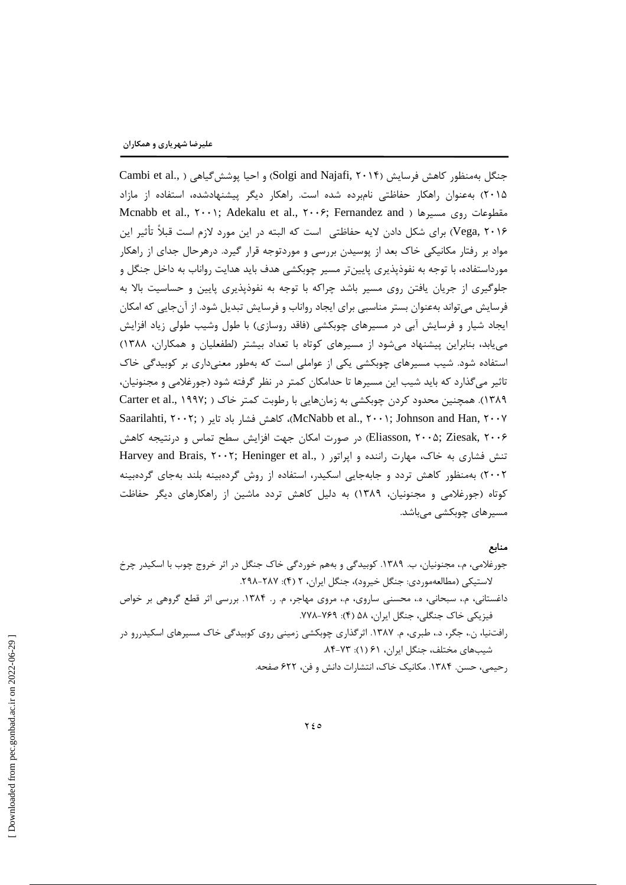جنگل بهمنظور كاهش فرسايش (Solgi and Najafi, ۲۰۱۴) و احيا يوشش گياهي ( .Cambi et al ۲۰۱۵) بهعنوان راهکار حفاظتی نامبرده شده است. راهکار دیگر پیشنهادشده، استفاده از مازاد Mcnabb et al., ۲۰۰۱; Adekalu et al., ۲۰۰۶; Fernandez and ) مقطوعات روی مسیرها ( Vega, ۲۰۱۶) برای شکل دادن لایه حفاظتی است که البته در این مورد لازم است قبلاً تأثیر این مواد بر رفتار مکانیکی خاک بعد از پوسیدن بررسی و موردتوجه قرار گیرد. درهرحال جدای از راهکار مورداستفاده، با توجه به نفوذپذیری پایینتر مسیر چوبکشی هدف باید هدایت رواناب به داخل جنگل و جلوگیری از جریان یافتن روی مسیر باشد چراکه با توجه به نفوذپذیری پایین و حساسیت بالا به فرسایش میتواند بهعنوان بستر مناسبی برای ایجاد رواناب و فرسایش تبدیل شود. از آنجایی که امکان ایجاد شیار و فرسایش آبی در مسیرهای چوبکشی (فاقد روسازی) با طول وشیب طولی زیاد افزایش می یابد، بنابراین پیشنهاد می شود از مسیرهای کوتاه با تعداد بیشتر (لطفعلیان و همکاران، ۱۳۸۸) استفاده شود. شیب مسیرهای چوبکشی یکی از عواملی است که بهطور معنیداری بر کوبیدگی خاک تاثیر میگذارد که باید شیب این مسیرها تا حدامکان کمتر در نظر گرفته شود (جورغلامی و مجنونیان، ۱۳۸۹). همچنین محدود کردن چوبکشی به زمانهایی با رطوبت کمتر خاک ( Carter et al., ۱۹۹۷; Saarilahti, ۲۰۰۲; ) باهش فشار باد تایر (McNabb et al., ۲۰۰۱; Johnson and Han, ۲۰۰۷ Eliasson, ۲۰۰۵; Ziesak, ۲۰۰۶) در صورت امکان جهت افزایش سطح تماس و درنتیجه کاهش تنش فشارى به خاك، مهارت راننده و ايراتور ( .Harvey and Brais, ٢٠٠٢; Heninger et al ۲۰۰۲) بهمنظور کاهش تردد و جابهجایی اسکیدر، استفاده از روش گردهبینه بلند بهجای گردهبینه کوتاه (جورغلامی و مجنونیان، ۱۳۸۹) به دلیل کاهش تردد ماشین از راهکارهای دیگر حفاظت مسیرهای چوبکشی میباشد.

### منابع

جورغلامي، م.، مجنونيان، ب. ١٣٨٩. كوبيدگي و بههم خوردگي خاک جنگل در اثر خروج چوب با اسكيدر چرخ لاستيكي (مطالعهموردي: جنگل خيرود)، جنگل ايران، ٢ (۴): ٢٨٧-٢٩٨.

- داغستانی، م.، سبحانی، ه.، محسنی ساروی، م.، مروی مهاجر، م. ر. ۱۳۸۴. بررسی اثر قطع گروهی بر خواص فیزیکی خاک جنگلی، جنگل ایران، ۵۸ (۴): ۷۶۹–۷۷۸.
- رافتنیا، ن.، جگر، د.، طبری، م. ۱۳۸۷. اثر گذاری چوبکشی زمینی روی کوبیدگی خاک مسیرهای اسکیدررو در شیبهای مختلف، جنگل ایران، ۶۱ (۱): ۷۳-۸۴.

رحيمي، حسن. ١٣٨۴. مكانيک خاک، انتشارات دانش و فن، ۶۲۲ صفحه.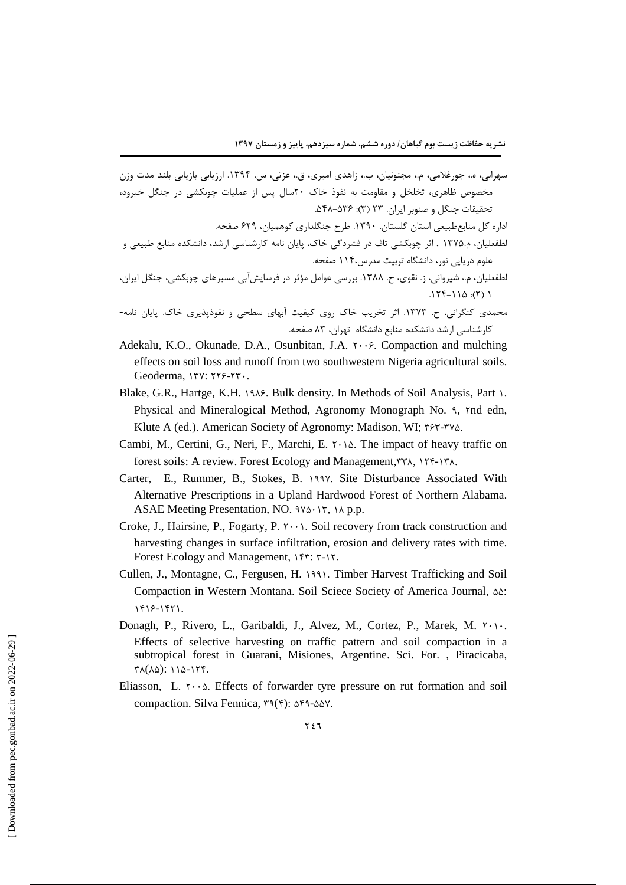سهرابی، ه.، جورغلامی، م.، مجنونیان، ب.، زاهدی امیری، ق.، عزتی، س. ۱۳۹۴. ارزیابی بازیابی بلند مدت وزن مخصوص ظاهری، تخلخل و مقاومت به نفوذ خاک ٢٠سال پس از عملیات چوبکشی در جنگل خیرود، تحقیقات جنگل و صنوبر ایران. ۲۳ (۳): ۵۴۸-۵۴۸.

اداره کل منابعطبیعی استان گلستان. ۱۳۹۰. طرح جنگلداری کوهمیان، ۶۲۹ صفحه.

- لطفعلیان، م.۱۳۷۵ . اثر چوبکشی تاف در فشردگی خاک، پایان نامه کارشناسی ارشد، دانشکده منابع طبیعی و علوم دریایی نور، دانشگاه تربیت مدرس،۱۱۴ صفحه.
- لطفعلیان، م.، شیروانی، ز. نقوی، ح. ۱۳۸۸. بررسی عوامل مؤثر در فرسایش[بی مسیرهای چوبکشی، جنگل ایران،  $.177-110:(7)1$
- محمدی کنگرانی، ح. ۱۳۷۳. اثر تخریب خاک روی کیفیت آبهای سطحی و نفوذپذیری خاک. پایان نامه-کارشناسی ارشد دانشکده منابع دانشگاه تهران، ۸۳ صفحه.
- Adekalu, K.O., Okunade, D.A., Osunbitan, J.A. ۲۰۰۶. Compaction and mulching effects on soil loss and runoff from two southwestern Nigeria agricultural soils. Geoderma, ITV: ٢٢۶-٢٣.
- Blake, G.R., Hartge, K.H. 1908. Bulk density. In Methods of Soil Analysis, Part 1. Physical and Mineralogical Method, Agronomy Monograph No. 9, Ynd edn, Klute A (ed.). American Society of Agronomy: Madison, WI: ۳۶۳-۳۷۵.
- Cambi, M., Certini, G., Neri, F., Marchi, E.  $\gamma \cdot \delta$ . The impact of heavy traffic on forest soils: A review. Forest Ecology and Management, ٣٣٨, ١٢۴-١٣٨.
- Carter, E., Rummer, B., Stokes, B. 1997. Site Disturbance Associated With Alternative Prescriptions in a Upland Hardwood Forest of Northern Alabama. ASAE Meeting Presentation, NO.  $3\gamma\delta \cdot 1\tau$ ,  $1\lambda$  p.p.
- Croke, J., Hairsine, P., Fogarty, P.  $\mathsf{y} \cdot \mathsf{y}$ . Soil recovery from track construction and harvesting changes in surface infiltration, erosion and delivery rates with time. Forest Ecology and Management, ۱۴۳: ۳-۱۲.
- Cullen, J., Montagne, C., Fergusen, H. 1991. Timber Harvest Trafficking and Soil Compaction in Western Montana. Soil Sciece Society of America Journal, AA:  $1418 - 1471.$
- Donagh, P., Rivero, L., Garibaldi, J., Alvez, M., Cortez, P., Marek, M. ۲۰۱۰. Effects of selective harvesting on traffic pattern and soil compaction in a subtropical forest in Guarani, Misiones, Argentine. Sci. For., Piracicaba,  $\Upsilon \Lambda (\Lambda \Delta)$ : 118-174.
- Eliasson, L.  $\mathsf{Y} \cdot \mathsf{a}$ . Effects of forwarder tyre pressure on rut formation and soil compaction. Silva Fennica, ٣٩(۴): ۵۴٩-۵۵۷.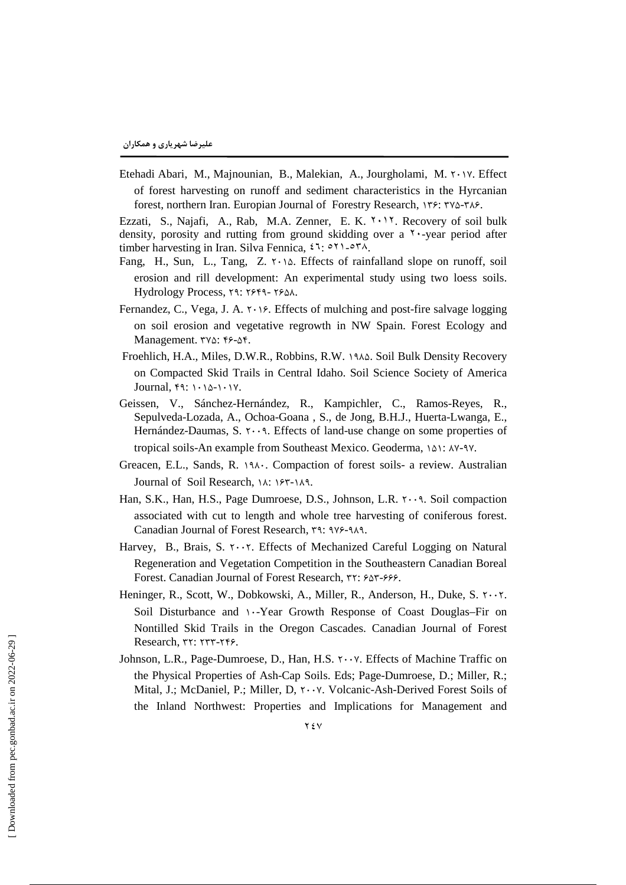Etehadi Abari, M., Majnounian, B., Malekian, A., Jourgholami, M. ٢٠١٧. Effect of forest harvesting on runoff and sediment characteristics in the Hyrcanian forest, northern Iran. Europian Journal of Forestry Research, ۱۳۶: ۳۷۵-۳۸۶.

Ezzati, S., Najafi, A., Rab, M.A. Zenner, E. K. ٢٠١٢. Recovery of soil bulk density, porosity and rutting from ground skidding over a ٢٠-year period after timber harvesting in Iran. Silva Fennica, ٤٦: ٥٢١-٥٣٨.

- Fang, H., Sun, L., Tang, Z.  $\mathsf{Y} \cdot \mathsf{Y} \circ \mathsf{S}$ . Effects of rainfalland slope on runoff, soil erosion and rill development: An experimental study using two loess soils. Hydrology Process, 19: 1949-1981.
- Fernandez, C., Vega, J. A.  $\gamma \rightarrow \gamma$ . Effects of mulching and post-fire salvage logging on soil erosion and vegetative regrowth in NW Spain. Forest Ecology and Management. ٣٧٥: ۴۶-٥۴.
- Froehlich, H.A., Miles, D.W.R., Robbins, R.W. 1944. Soil Bulk Density Recovery on Compacted Skid Trails in Central Idaho. Soil Science Society of America Journal,  $f_1: \ldots \wedge f_1$ .
- Geissen, V., Sánchez-Hernández, R., Kampichler, C., Ramos-Reyes, R., Sepulveda-Lozada, A., Ochoa-Goana , S., de Jong, B.H.J., Huerta-Lwanga, E., Hernández-Daumas, S.  $\cdot \cdot \cdot$ 9. Effects of land-use change on some properties of tropical soils-An example from Southeast Mexico. Geoderma, 141: AY-9Y.
- Greacen, E.L., Sands, R. 191. Compaction of forest soils- a review. Australian Journal of Soil Research, IA: IFT-IA9.
- Han, S.K., Han, H.S., Page Dumroese, D.S., Johnson, L.R. 1.19. Soil compaction associated with cut to length and whole tree harvesting of coniferous forest. Canadian Journal of Forest Research, ٣٩: ٩٧۶-٩٨٩.
- Harvey, B., Brais, S.  $\gamma \cdot \gamma$ . Effects of Mechanized Careful Logging on Natural Regeneration and Vegetation Competition in the Southeastern Canadian Boreal Forest. Canadian Journal of Forest Research, TY:  $50 - 59$ .
- Heninger, R., Scott, W., Dobkowski, A., Miller, R., Anderson, H., Duke, S.  $\gamma \cdot \gamma$ . Soil Disturbance and \-Year Growth Response of Coast Douglas–Fir on Nontilled Skid Trails in the Oregon Cascades. Canadian Journal of Forest  $Research, \tau$  $\tau$ :  $\tau\tau\tau$ - $\tau\epsilon$ .
- Johnson, L.R., Page-Dumroese, D., Han, H.S.  $\mathsf{r} \cdot \mathsf{v}$ . Effects of Machine Traffic on the Physical Properties of Ash-Cap Soils. Eds; Page-Dumroese, D.; Miller, R.; Mital, J.; McDaniel, P.; Miller, D. ۲ · · V. Volcanic-Ash-Derived Forest Soils of the Inland Northwest: Properties and Implications for Management and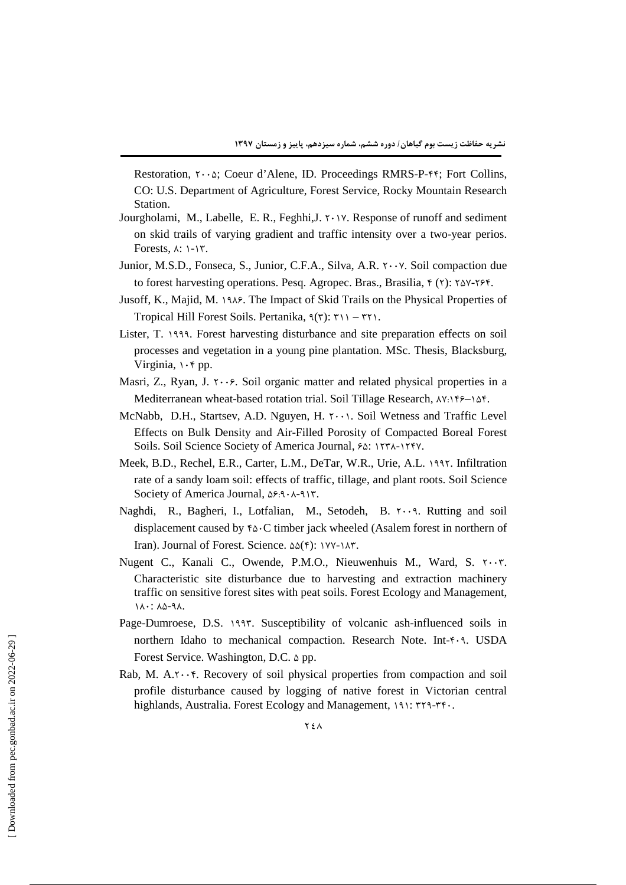Restoration,  $\cdot \cdot \cdot \Delta$ ; Coeur d'Alene, ID. Proceedings RMRS-P-ff; Fort Collins, CO: U.S. Department of Agriculture, Forest Service, Rocky Mountain Research Station.

- Jourgholami, M., Labelle, E. R., Feghhi,  $J_1$ ,  $\gamma$ . Response of runoff and sediment on skid trails of varying gradient and traffic intensity over a two-year perios. Forests,  $\lambda$ :  $\lambda$ - $\Upsilon$ .
- Junior, M.S.D., Fonseca, S., Junior, C.F.A., Silva, A.R.  $\cdot \cdot \cdot$  Y. Soil compaction due to forest harvesting operations. Pesq. Agropec. Bras., Brasilia,  $f(x)$ :  $\gamma \Delta y$ - $\gamma \delta f$ .
- Jusoff, K., Majid, M. 1948. The Impact of Skid Trails on the Physical Properties of Tropical Hill Forest Soils. Pertanika,  $9(5)$ :  $5(1) - 5(1)$ .
- Lister, T. 1999. Forest harvesting disturbance and site preparation effects on soil processes and vegetation in a young pine plantation. MSc. Thesis, Blacksburg, Virginia,  $\cdot$   $\circ$  pp.
- Masri, Z., Ryan, J.  $\tau \cdot \cdot \epsilon$ . Soil organic matter and related physical properties in a Mediterranean wheat-based rotation trial. Soil Tillage Research,  $\Delta V: V \rightarrow V \rightarrow V$ .
- McNabb, D.H., Startsey, A.D. Nguyen, H.  $\gamma \cdots$ . Soil Wetness and Traffic Level Effects on Bulk Density and Air-Filled Porosity of Compacted Boreal Forest Soils. Soil Science Society of America Journal,  $\S$ . (1878-1887).
- Meek, B.D., Rechel, E.R., Carter, L.M., DeTar, W.R., Urie, A.L. 1997. Infiltration rate of a sandy loam soil: effects of traffic, tillage, and plant roots. Soil Science Society of America Journal,  $\Delta \xi$ : A-A-AY.
- Naghdi, R., Bagheri, I., Lotfalian, M., Setodeh, B.  $\tau \cdot \cdot \mathbf{a}$ . Rutting and soil displacement caused by  $\&\circ C$  timber jack wheeled (Asalem forest in northern of Iran). Journal of Forest. Science.  $\Delta\Delta(f)$ : YYY-YAY.
- Nugent C., Kanali C., Owende, P.M.O., Nieuwenhuis M., Ward, S.  $\gamma \cdot \gamma$ . Characteristic site disturbance due to harvesting and extraction machinery traffic on sensitive forest sites with peat soils. Forest Ecology and Management, 1 A .: A &-9 A.
- Page-Dumroese, D.S. 1997. Susceptibility of volcanic ash-influenced soils in northern Idaho to mechanical compaction. Research Note. Int-f-9. USDA Forest Service. Washington, D.C.  $\Delta$  pp.
- Rab, M.  $A.\tau \cdot \cdot \tau$ . Recovery of soil physical properties from compaction and soil profile disturbance caused by logging of native forest in Victorian central highlands, Australia. Forest Ecology and Management, 191: ٣٢٩-٣٢٠.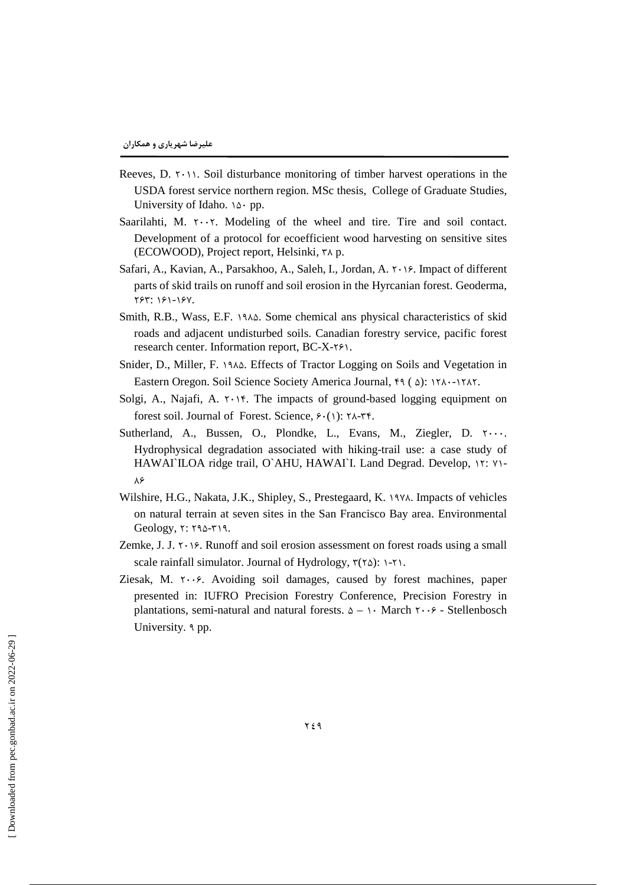- Reeves, D.  $\gamma$ . Soil disturbance monitoring of timber harvest operations in the USDA forest service northern region. MSc thesis, College of Graduate Studies, University of Idaho.  $\delta \cdot pp$ .
- Saarilahti, M.  $\cdot \cdot \cdot$ . Modeling of the wheel and tire. Tire and soil contact. Development of a protocol for ecoefficient wood harvesting on sensitive sites (ECOWOOD), Project report, Helsinki, X p.
- Safari, A., Kavian, A., Parsakhoo, A., Saleh, I., Jordan, A. 1998. Impact of different parts of skid trails on runoff and soil erosion in the Hyrcanian forest. Geoderma, ٢۶٣: ١۶١-١۶٧.
- Smith, R.B., Wass, E.F. 1944. Some chemical ans physical characteristics of skid roads and adjacent undisturbed soils. Canadian forestry service, pacific forest research center. Information report,  $BC-X-Y$ .
- Snider, D., Miller, F. 1914. Effects of Tractor Logging on Soils and Vegetation in Eastern Oregon. Soil Science Society America Journal,  $f \circ ( \Delta)$ : ۱۲۸۰-۱۲۸۲.
- Solgi, A., Najafi, A.  $\gamma \cdot \gamma$ . The impacts of ground-based logging equipment on forest soil. Journal of Forest. Science,  $\mathcal{F}(\cdot)$ :  $\mathcal{F}(\cdot)$
- Sutherland, A., Bussen, O., Plondke, L., Evans, M., Ziegler, D.  $\cdots$ . Hydrophysical degradation associated with hiking-trail use: a case study of HAWAI`ILOA ridge trail, O`AHU, HAWAI`I. Land Degrad. Develop, \r: \\- $\lambda$ ۶
- Wilshire, H.G., Nakata, J.K., Shipley, S., Prestegaard, K. 1974. Impacts of vehicles on natural terrain at seven sites in the San Francisco Bay area. Environmental  $Geology, \tau: \tau_0-\tau_1$ .
- Zemke, J. J.  $\gamma \cdot \beta$ . Runoff and soil erosion assessment on forest roads using a small scale rainfall simulator. Journal of Hydrology,  $\mathbf{r}(\mathbf{r}\Delta)$ : \-\t \.
- Ziesak, M.  $\tau \cdot \cdot \hat{z}$ . Avoiding soil damages, caused by forest machines, paper presented in: IUFRO Precision Forestry Conference, Precision Forestry in plantations, semi-natural and natural forests.  $\Delta - \lambda \cdot$  March  $\lambda \cdot \cdot \cdot$  - Stellenbosch University. d pp.